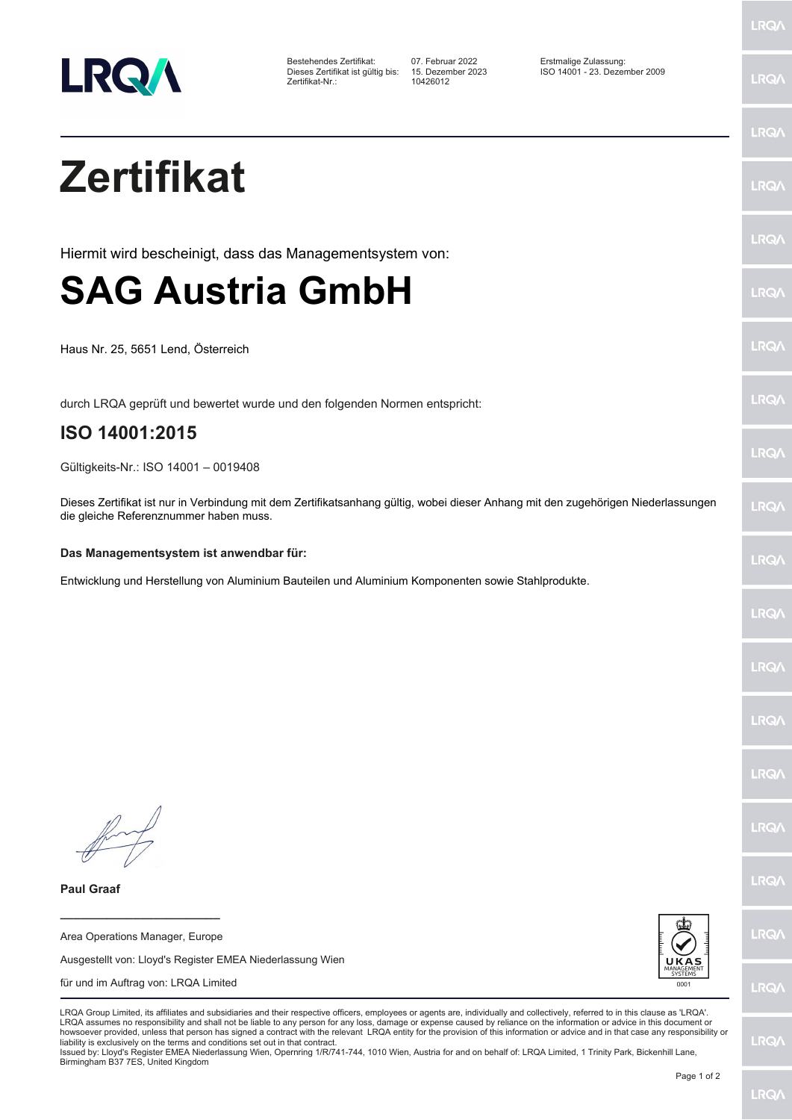

Dieses Zertifikat ist gültig bis: 15. Dezem<br>Zertifikat-Nr.: 10426012

Bestehendes Zertifikat: 07. Februar 2022 Erstmalige Zulassung: Dieses Zertifikat ist gültig bis: 15. Dezember 2023 ISO 14001 - 23. Dezember 2009

LRQ/

LRQ/

LRQ/

LRQ/

LRQ/

LRQ/

LRQ/

LRQ/

**LRQA** 

**LRO** 

LRQ/

LRQ/

LRQ/

LRQ/

LRQ/

**IRQA** 

LRQ/

LRQ/

LRQ/

LRQ/

## **Zertifikat Paul Graaf \_\_\_\_\_\_\_\_\_\_\_\_\_\_\_\_\_\_\_\_\_\_\_\_** Area Operations Manager, Europe Ausgestellt von: Lloyd's Register EMEA Niederlassung Wien für und im Auftrag von: LRQA Limited LRQA Group Limited, its affiliates and subsidiaries and their respective officers, employees or agents are, individually and collectively, referred to in this clause as 'LRQA'. LRQA assumes no responsibility and shall not be liable to any person for any loss, damage or expense caused by reliance on the information or advice in this document or howsoever provided, unless that person has signed a contract with the relevant LRQA entity for the provision of this information or advice and in that case any responsibility or<br>liability is exclusively on the terms and co Issued by: Lloyd's Register EMEA Niederlassung Wien, Opernring 1/R/741-744, 1010 Wien, Austria for and on behalf of: LRQA Limited, 1 Trinity Park, Bickenhill Lane, Birmingham B37 7ES, United Kingdom Page 1 of 2 Hiermit wird bescheinigt, dass das Managementsystem von: **SAG Austria GmbH** Haus Nr. 25, 5651 Lend, Österreich durch LRQA geprüft und bewertet wurde und den folgenden Normen entspricht: **ISO 14001:2015** Gültigkeits-Nr.: ISO 14001 – 0019408 Dieses Zertifikat ist nur in Verbindung mit dem Zertifikatsanhang gültig, wobei dieser Anhang mit den zugehörigen Niederlassungen die gleiche Referenznummer haben muss. **Das Managementsystem ist anwendbar für:** Entwicklung und Herstellung von Aluminium Bauteilen und Aluminium Komponenten sowie Stahlprodukte.